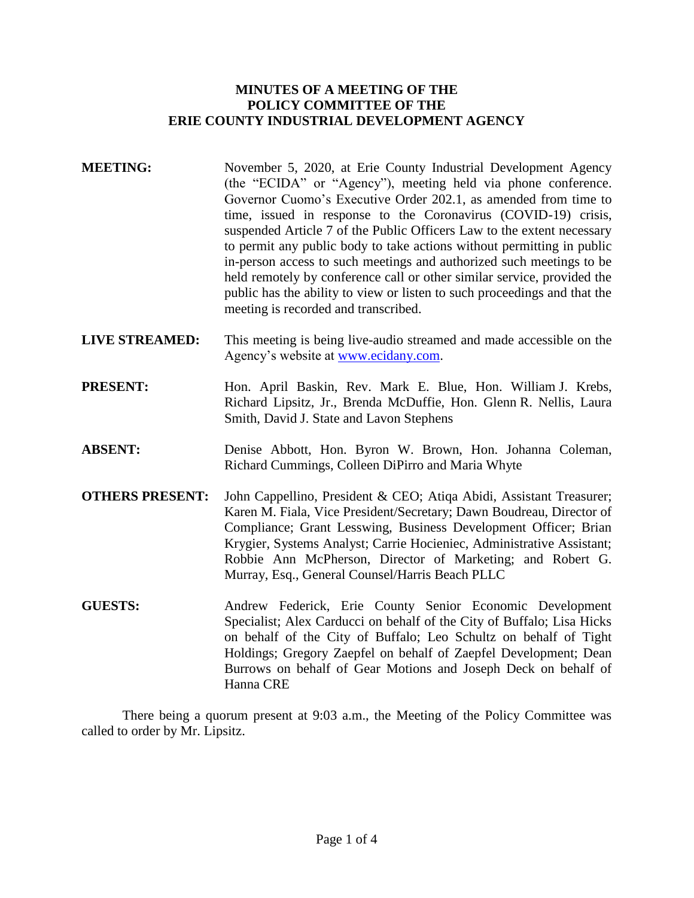### **MINUTES OF A MEETING OF THE POLICY COMMITTEE OF THE ERIE COUNTY INDUSTRIAL DEVELOPMENT AGENCY**

- **MEETING:** November 5, 2020, at Erie County Industrial Development Agency (the "ECIDA" or "Agency"), meeting held via phone conference. Governor Cuomo's Executive Order 202.1, as amended from time to time, issued in response to the Coronavirus (COVID-19) crisis, suspended Article 7 of the Public Officers Law to the extent necessary to permit any public body to take actions without permitting in public in-person access to such meetings and authorized such meetings to be held remotely by conference call or other similar service, provided the public has the ability to view or listen to such proceedings and that the meeting is recorded and transcribed.
- **LIVE STREAMED:** This meeting is being live-audio streamed and made accessible on the Agency's website at [www.ecidany.com.](http://www.ecidany.com/)
- **PRESENT:** Hon. April Baskin, Rev. Mark E. Blue, Hon. William J. Krebs, Richard Lipsitz, Jr., Brenda McDuffie, Hon. Glenn R. Nellis, Laura Smith, David J. State and Lavon Stephens
- **ABSENT:** Denise Abbott, Hon. Byron W. Brown, Hon. Johanna Coleman, Richard Cummings, Colleen DiPirro and Maria Whyte
- **OTHERS PRESENT:** John Cappellino, President & CEO; Atiqa Abidi, Assistant Treasurer; Karen M. Fiala, Vice President/Secretary; Dawn Boudreau, Director of Compliance; Grant Lesswing, Business Development Officer; Brian Krygier, Systems Analyst; Carrie Hocieniec, Administrative Assistant; Robbie Ann McPherson, Director of Marketing; and Robert G. Murray, Esq., General Counsel/Harris Beach PLLC
- **GUESTS:** Andrew Federick, Erie County Senior Economic Development Specialist; Alex Carducci on behalf of the City of Buffalo; Lisa Hicks on behalf of the City of Buffalo; Leo Schultz on behalf of Tight Holdings; Gregory Zaepfel on behalf of Zaepfel Development; Dean Burrows on behalf of Gear Motions and Joseph Deck on behalf of Hanna CRE

There being a quorum present at 9:03 a.m., the Meeting of the Policy Committee was called to order by Mr. Lipsitz.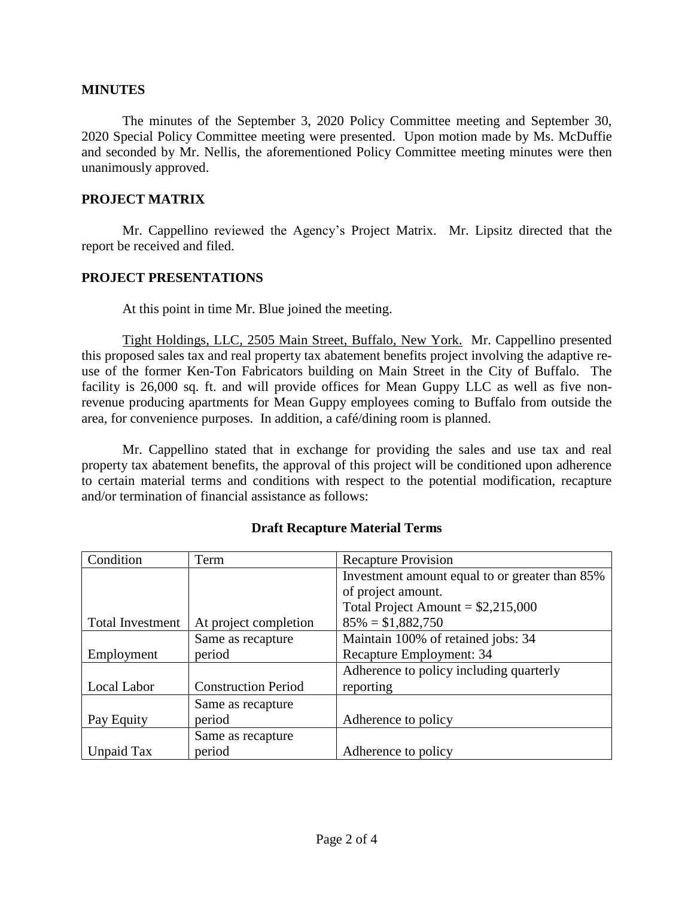#### **MINUTES**

The minutes of the September 3, 2020 Policy Committee meeting and September 30, 2020 Special Policy Committee meeting were presented. Upon motion made by Ms. McDuffie and seconded by Mr. Nellis, the aforementioned Policy Committee meeting minutes were then unanimously approved.

#### **PROJECT MATRIX**

Mr. Cappellino reviewed the Agency's Project Matrix. Mr. Lipsitz directed that the report be received and filed.

#### **PROJECT PRESENTATIONS**

At this point in time Mr. Blue joined the meeting.

Tight Holdings, LLC, 2505 Main Street, Buffalo, New York. Mr. Cappellino presented this proposed sales tax and real property tax abatement benefits project involving the adaptive reuse of the former Ken-Ton Fabricators building on Main Street in the City of Buffalo. The facility is 26,000 sq. ft. and will provide offices for Mean Guppy LLC as well as five nonrevenue producing apartments for Mean Guppy employees coming to Buffalo from outside the area, for convenience purposes. In addition, a café/dining room is planned.

Mr. Cappellino stated that in exchange for providing the sales and use tax and real property tax abatement benefits, the approval of this project will be conditioned upon adherence to certain material terms and conditions with respect to the potential modification, recapture and/or termination of financial assistance as follows:

| Condition               | Term                       | <b>Recapture Provision</b>                     |
|-------------------------|----------------------------|------------------------------------------------|
|                         |                            | Investment amount equal to or greater than 85% |
|                         |                            | of project amount.                             |
|                         |                            | Total Project Amount = $$2,215,000$            |
| <b>Total Investment</b> | At project completion      | $85\% = $1,882,750$                            |
|                         | Same as recapture          | Maintain 100% of retained jobs: 34             |
| Employment              | period                     | Recapture Employment: 34                       |
|                         |                            | Adherence to policy including quarterly        |
| Local Labor             | <b>Construction Period</b> | reporting                                      |
|                         | Same as recapture          |                                                |
| Pay Equity              | period                     | Adherence to policy                            |
|                         | Same as recapture          |                                                |
| Unpaid Tax              | period                     | Adherence to policy                            |

## **Draft Recapture Material Terms**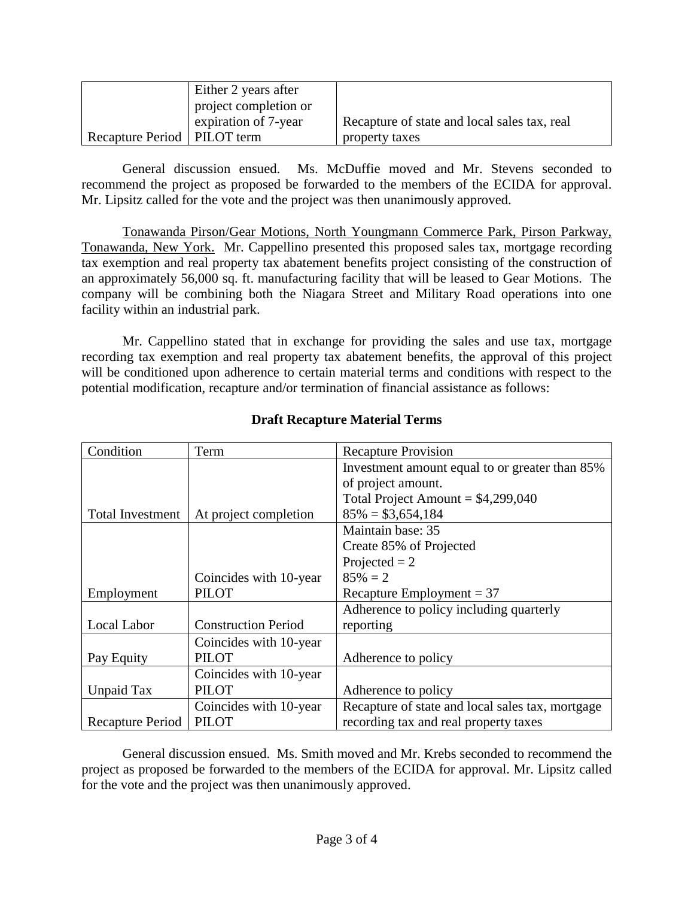|                               | Either 2 years after  |                                              |
|-------------------------------|-----------------------|----------------------------------------------|
|                               | project completion or |                                              |
|                               | expiration of 7-year  | Recapture of state and local sales tax, real |
| Recapture Period   PILOT term |                       | property taxes                               |

General discussion ensued. Ms. McDuffie moved and Mr. Stevens seconded to recommend the project as proposed be forwarded to the members of the ECIDA for approval. Mr. Lipsitz called for the vote and the project was then unanimously approved.

Tonawanda Pirson/Gear Motions, North Youngmann Commerce Park, Pirson Parkway, Tonawanda, New York. Mr. Cappellino presented this proposed sales tax, mortgage recording tax exemption and real property tax abatement benefits project consisting of the construction of an approximately 56,000 sq. ft. manufacturing facility that will be leased to Gear Motions. The company will be combining both the Niagara Street and Military Road operations into one facility within an industrial park.

Mr. Cappellino stated that in exchange for providing the sales and use tax, mortgage recording tax exemption and real property tax abatement benefits, the approval of this project will be conditioned upon adherence to certain material terms and conditions with respect to the potential modification, recapture and/or termination of financial assistance as follows:

| Condition               | Term                       | <b>Recapture Provision</b>                       |
|-------------------------|----------------------------|--------------------------------------------------|
|                         |                            | Investment amount equal to or greater than 85%   |
|                         |                            | of project amount.                               |
|                         |                            | Total Project Amount = $$4,299,040$              |
| <b>Total Investment</b> | At project completion      | $85\% = $3,654,184$                              |
|                         |                            | Maintain base: 35                                |
|                         |                            | Create 85% of Projected                          |
|                         |                            | Projected $= 2$                                  |
|                         | Coincides with 10-year     | $85\% = 2$                                       |
| Employment              | <b>PILOT</b>               | Recapture Employment = $37$                      |
|                         |                            | Adherence to policy including quarterly          |
| Local Labor             | <b>Construction Period</b> | reporting                                        |
|                         | Coincides with 10-year     |                                                  |
| Pay Equity              | <b>PILOT</b>               | Adherence to policy                              |
|                         | Coincides with 10-year     |                                                  |
| Unpaid Tax              | <b>PILOT</b>               | Adherence to policy                              |
|                         | Coincides with 10-year     | Recapture of state and local sales tax, mortgage |
| Recapture Period        | <b>PILOT</b>               | recording tax and real property taxes            |

# **Draft Recapture Material Terms**

General discussion ensued. Ms. Smith moved and Mr. Krebs seconded to recommend the project as proposed be forwarded to the members of the ECIDA for approval. Mr. Lipsitz called for the vote and the project was then unanimously approved.